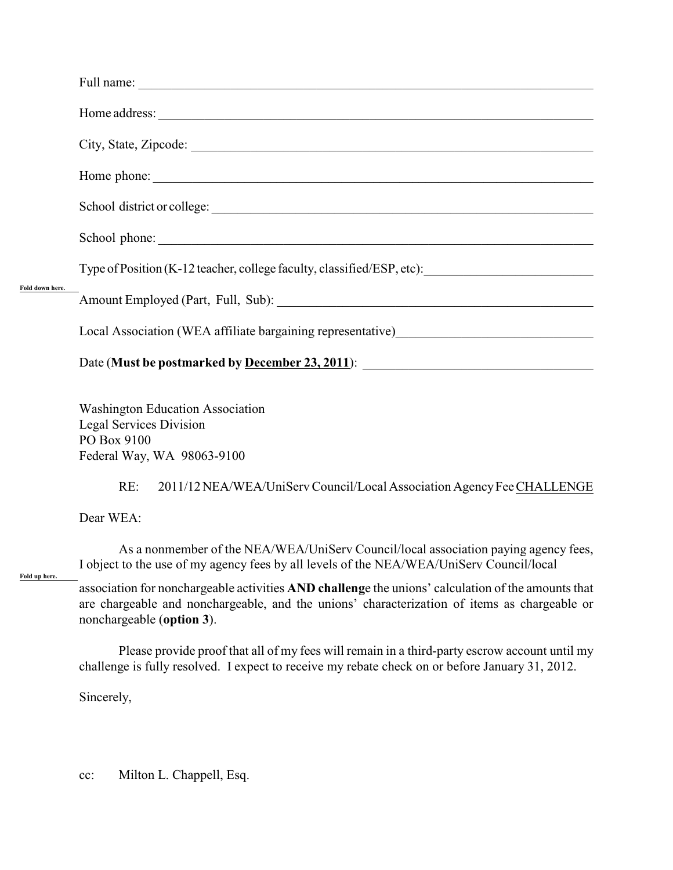| Fold down here.<br>Fold up here. |                                                                                                                                                                                                                                 |
|----------------------------------|---------------------------------------------------------------------------------------------------------------------------------------------------------------------------------------------------------------------------------|
|                                  |                                                                                                                                                                                                                                 |
|                                  |                                                                                                                                                                                                                                 |
|                                  |                                                                                                                                                                                                                                 |
|                                  |                                                                                                                                                                                                                                 |
|                                  |                                                                                                                                                                                                                                 |
|                                  | Type of Position (K-12 teacher, college faculty, classified/ESP, etc):                                                                                                                                                          |
|                                  |                                                                                                                                                                                                                                 |
|                                  | Local Association (WEA affiliate bargaining representative)______________________                                                                                                                                               |
|                                  |                                                                                                                                                                                                                                 |
|                                  | <b>Washington Education Association</b><br><b>Legal Services Division</b><br>PO Box 9100<br>Federal Way, WA 98063-9100                                                                                                          |
|                                  | 2011/12 NEA/WEA/UniServ Council/Local Association Agency Fee CHALLENGE<br>RE:                                                                                                                                                   |
|                                  | Dear WEA:                                                                                                                                                                                                                       |
|                                  | As a nonmember of the NEA/WEA/UniServ Council/local association paying agency fees,<br>I object to the use of my agency fees by all levels of the NEA/WEA/UniServ Council/local                                                 |
|                                  | association for nonchargeable activities AND challenge the unions' calculation of the amounts that<br>are chargeable and nonchargeable, and the unions' characterization of items as chargeable or<br>nonchargeable (option 3). |
|                                  | Please provide proof that all of my fees will remain in a third-party escrow account until my<br>challenge is fully resolved. I expect to receive my rebate check on or before January 31, 2012.                                |

Sincerely,

cc: Milton L. Chappell, Esq.